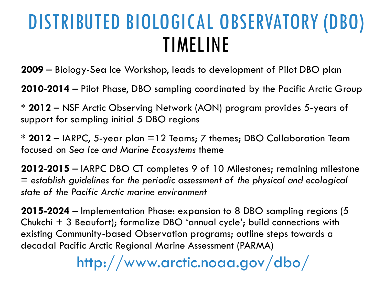## DISTRIBUTED BIOLOGICAL OBSERVATORY (DBO) TIMELINE

**2009** – Biology-Sea Ice Workshop, leads to development of Pilot DBO plan

**2010-2014** – Pilot Phase, DBO sampling coordinated by the Pacific Arctic Group

**\* 2012** – NSF Arctic Observing Network (AON) program provides 5-years of support for sampling initial 5 DBO regions

**\* 2012** – IARPC, 5-year plan =12 Teams; 7 themes; DBO Collaboration Team focused on *Sea Ice and Marine Ecosystems* theme

**2012-2015** – IARPC DBO CT completes 9 of 10 Milestones; remaining milestone = *establish guidelines for the periodic assessment of the physical and ecological state of the Pacific Arctic marine environment*

**2015-2024** – Implementation Phase: expansion to 8 DBO sampling regions (5 Chukchi + 3 Beaufort); formalize DBO 'annual cycle'; build connections with existing Community-based Observation programs; outline steps towards a decadal Pacific Arctic Regional Marine Assessment (PARMA)

http://www.arctic.noaa.gov/dbo/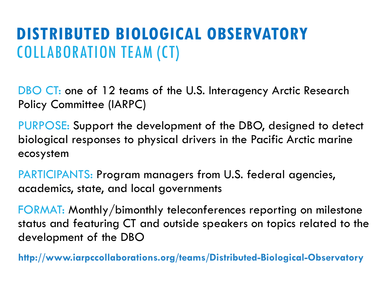### **DISTRIBUTED BIOLOGICAL OBSERVATORY**  COLLABORATION TEAM (CT)

DBO CT: one of 12 teams of the U.S. Interagency Arctic Research Policy Committee (IARPC)

PURPOSE: Support the development of the DBO, designed to detect biological responses to physical drivers in the Pacific Arctic marine ecosystem

PARTICIPANTS: Program managers from U.S. federal agencies, academics, state, and local governments

FORMAT: Monthly/bimonthly teleconferences reporting on milestone status and featuring CT and outside speakers on topics related to the development of the DBO

**http://www.iarpccollaborations.org/teams/Distributed-Biological-Observatory**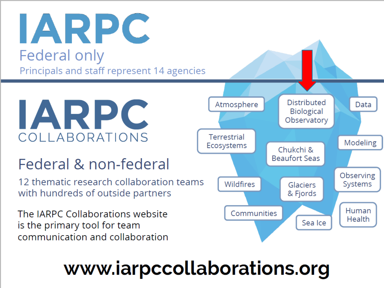IARPC **Federal only** Principals and staff represent 14 agencies



#### Federal & non-federal

12 thematic research collaboration teams with hundreds of outside partners

The IARPC Collaborations website is the primary tool for team communication and collaboration



# www.iarpccollaborations.org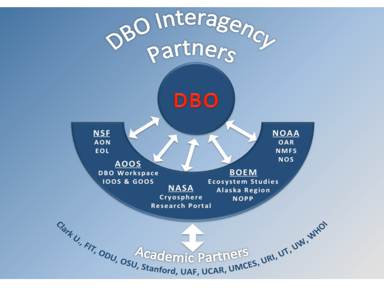